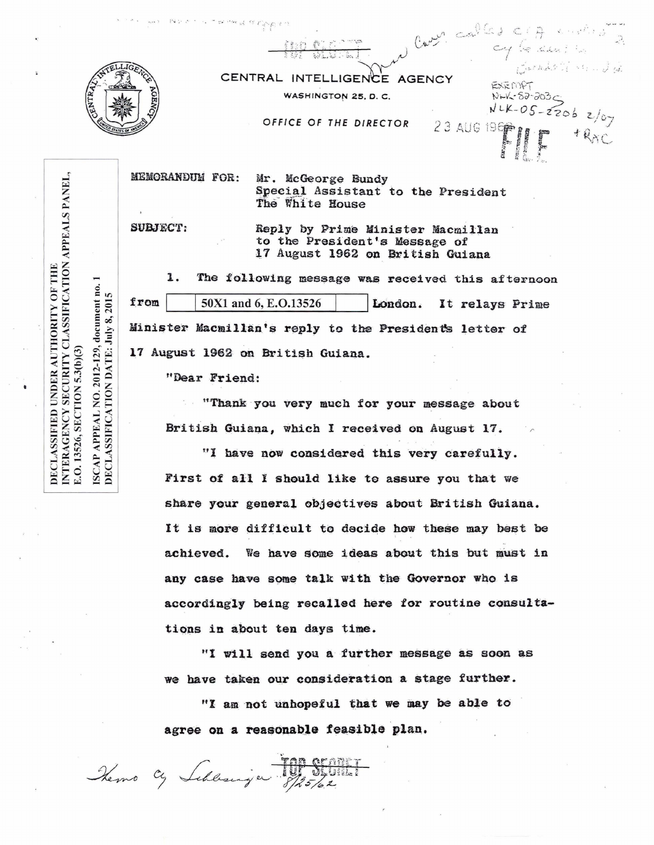| <b>IGENC</b> |  |
|--------------|--|
|              |  |
|              |  |

| $\label{eq:2.1} \lim_{\varepsilon\to 0} \mathbb{E} \mathbb{E} \left[ \sup_{\varepsilon\to 0} \mathbb{E} \left[ \sup_{\varepsilon\to 0} \mathbb{E} \left[ \sup_{\varepsilon\to 0} \mathbb{E} \left[ \sup_{\varepsilon\to 0} \mathbb{E} \left[ \mathbb{E} \left[ \mathbb{E} \left[ \mathbb{E} \left[ \mathbb{E} \left[ \mathbb{E} \left[ \mathbb{E} \left[ \mathbb{E} \left[ \mathbb{E} \left[ \mathbb{E} \left[ \mathbb{E} \left[ \mathbb{E} \left[ \$<br>CENTRAL INTELLIGENCE AGENCY | Canon called CIA contra<br>$\ddot{\phantom{a}}$<br>$cy6$ dering<br>Canado Mandia |
|--------------------------------------------------------------------------------------------------------------------------------------------------------------------------------------------------------------------------------------------------------------------------------------------------------------------------------------------------------------------------------------------------------------------------------------------------------------------------------------|----------------------------------------------------------------------------------|
|                                                                                                                                                                                                                                                                                                                                                                                                                                                                                      | EXEMPT                                                                           |
| WASHINGTON 25, D. C.                                                                                                                                                                                                                                                                                                                                                                                                                                                                 | NLK-82-203C                                                                      |
| OFFICE OF THE DIRECTOR                                                                                                                                                                                                                                                                                                                                                                                                                                                               | $N-K-05-2206$ $2/07$<br>23 AUG 196<br>$+R_{AC}$                                  |

**MEMORANDUM FOR:** 

Notes to the monod of Ceoples

Mr. McGeorge Bundy Special Assistant to the President The White House

SUBJECT:

Reply by Prime Minister Macmillan to the President's Message of 17 August 1962 on British Guiana

l. The following message was received this afternoon  $from$ 50X1 and 6, E.O.13526 London. It relays Prime Minister Macmillan's reply to the President's letter of 17 August 1962 on British Guiana.

"Dear Friend:

"Thank you very much for your message about British Guiana, which I received on August 17.

"I have now considered this very carefully. First of all I should like to assure you that we share your general objectives about British Guiana. It is more difficult to decide how these may best be achieved. We have some ideas about this but must in any case have some talk with the Governor who is accordingly being recalled here for routine consultations in about ten days time.

"I will send you a further message as soon as we have taken our consideration a stage further.

"I am not unhopeful that we may be able to agree on a reasonable feasible plan.

Top Stone

INTERAGENCY SECURITY CLASSIFICATION APPEALS PANEL, ISCAP APPEAL NO. 2012-129, document no. 1<br>DECLASSIFICATION DATE: July 8, 2015 E.O. 13526, SECTION 5.3(b)(3)

DECLASSIFIED UNDER AUTHORITY OF THE